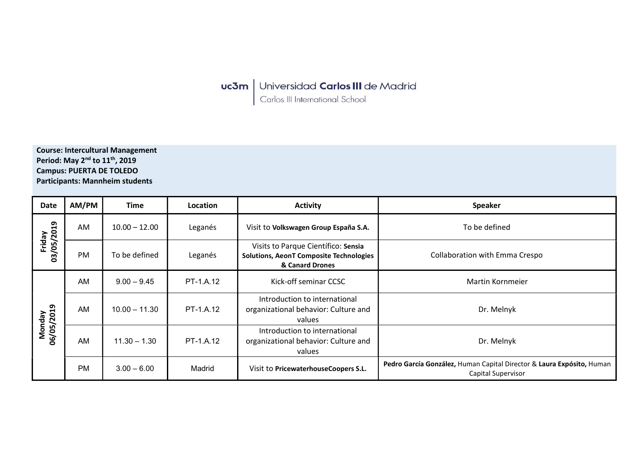**uc3m** Universidad Carlos III de Madrid<br>Carlos III International School

Course: Intercultural Management Period: May 2<sup>nd</sup> to 11<sup>th</sup>, 2019 Campus: PUERTA DE TOLEDO Participants: Mannheim students

| <b>Date</b>          | AM/PM     | Time            | Location  | <b>Activity</b>                                                                                          | <b>Speaker</b>                                                                              |
|----------------------|-----------|-----------------|-----------|----------------------------------------------------------------------------------------------------------|---------------------------------------------------------------------------------------------|
| 03/05/2019<br>Friday | AM        | $10.00 - 12.00$ | Leganés   | Visit to Volkswagen Group España S.A.                                                                    | To be defined                                                                               |
|                      | PM        | To be defined   | Leganés   | Visits to Parque Científico: Sensia<br><b>Solutions, AeonT Composite Technologies</b><br>& Canard Drones | Collaboration with Emma Crespo                                                              |
| Monday<br>06/05/2019 | AM        | $9.00 - 9.45$   | PT-1.A.12 | Kick-off seminar CCSC                                                                                    | Martin Kornmeier                                                                            |
|                      | AM        | $10.00 - 11.30$ | PT-1.A.12 | Introduction to international<br>organizational behavior: Culture and<br>values                          | Dr. Melnyk                                                                                  |
|                      | AM        | $11.30 - 1.30$  | PT-1.A.12 | Introduction to international<br>organizational behavior: Culture and<br>values                          | Dr. Melnyk                                                                                  |
|                      | <b>PM</b> | $3.00 - 6.00$   | Madrid    | Visit to PricewaterhouseCoopers S.L.                                                                     | Pedro García González, Human Capital Director & Laura Expósito, Human<br>Capital Supervisor |